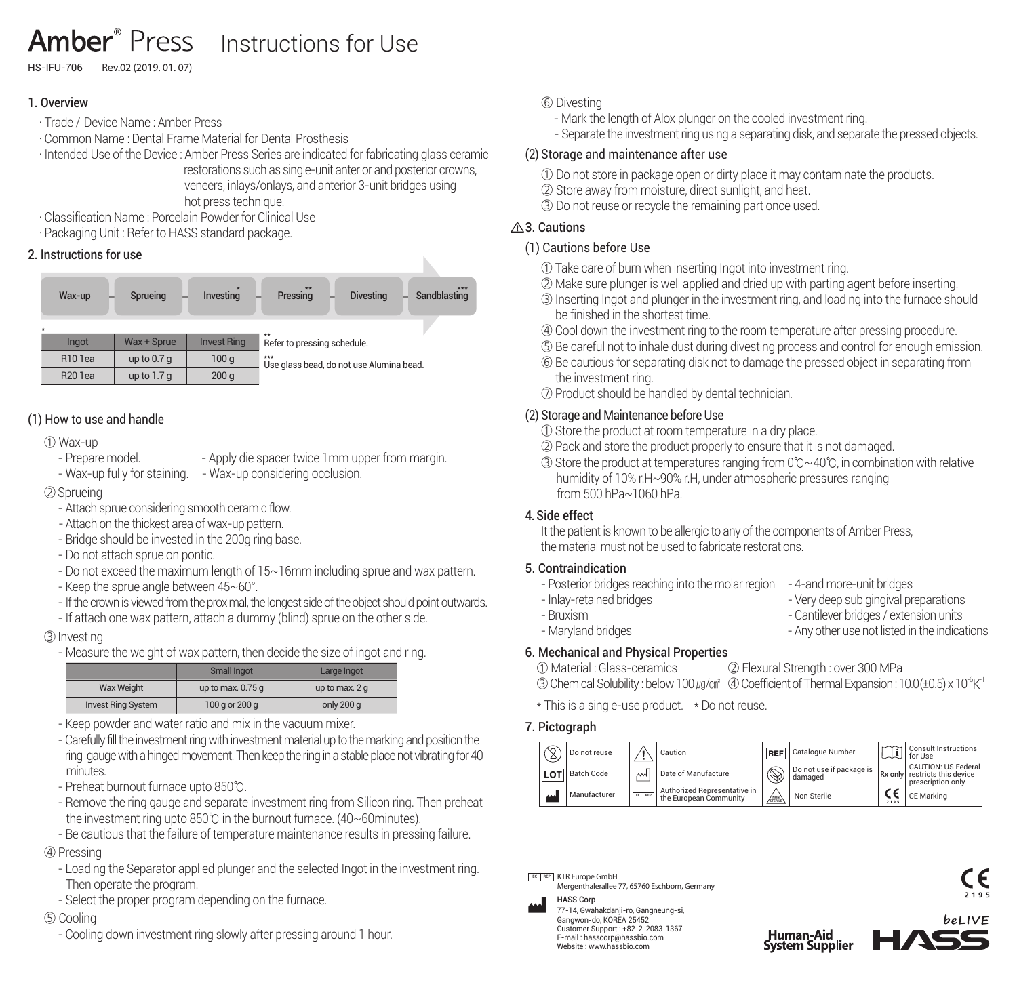## Amber<sup>®</sup> Press Instructions for Use

HS-IFU-706 Rev.02 (2019. 01. 07)

## 1. Overview

- · Trade / Device Name : Amber Press
- · Common Name : Dental Frame Material for Dental Prosthesis
- · Intended Use of the Device : Amber Press Series are indicated for fabricating glass ceramic restorations such as single-unit anterior and posterior crowns,

 veneers, inlays/onlays, and anterior 3-unit bridges using hot press technique.

- · Classification Name : Porcelain Powder for Clinical Use
- · Packaging Unit : Refer to HASS standard package.

#### 2. Instructions for use



## (1) How to use and handle

#### ① Wax-up

- Prepare model. - - Apply die spacer twice 1mm upper from margin.<br>- Wax-up fully for staining. - Wax-up considering occlusion.

- Wax-up considering occlusion.

②Sprueing

- Attach sprue considering smooth ceramic flow.
- Attach on the thickest area of wax-up pattern.
- Bridge should be invested in the 200g ring base.
- Do not attach sprue on pontic.
- Do not exceed the maximum length of 15 ~ 16mm including sprue and wax pattern.
- Keep the sprue angle between  $45~60^\circ$ .
- If the crown is viewed from the proximal, the longest side of the object should point outwards.
- If attach one wax pattern, attach a dummy (blind) sprue on the other side.

#### ③Investing

- Measure the weight of wax pattern, then decide the size of ingot and ring.

|                           | Small Ingot        | Large Ingot    |  |  |  |
|---------------------------|--------------------|----------------|--|--|--|
| <b>Wax Weight</b>         | up to max. $0.75q$ | up to max. 2 q |  |  |  |
| <b>Invest Ring System</b> | 100 g or 200 g     | only 200 q     |  |  |  |

- Keep powder and water ratio and mix in the vacuum mixer.
- Carefully fill the investment ring with investment material up to the marking and position the ring gauge with a hinged movement. Then keep the ring in a stable place not vibrating for 40 minutes.
- Preheat burnout furnace upto 850℃.
- Remove the ring gauge and separate investment ring from Silicon ring. Then preheat the investment ring upto 850℃ in the burnout furnace. (40~60 minutes).
- Be cautious that the failure of temperature maintenance results in pressing failure.

#### ④ Pressing

- Loading the Separator applied plunger and the selected Ingot in the investment ring. Then operate the program.
- Select the proper program depending on the furnace.

## ⑤ Cooling

- Cooling down investment ring slowly after pressing around 1 hour.

### ⑥ Divesting

- Mark the length of Alox plunger on the cooled investment ring.
- Separate the investment ring using a separating disk, and separate the pressed objects.

## (2) Storage and maintenance after use

- ① Do not store in package open or dirty place it may contaminate the products.
- ② Store away from moisture, direct sunlight, and heat.
- ③ Do not reuse or recycle the remaining part once used.

## A.3. Cautions

## (1) Cautions before Use

- ① Take care of burn when inserting Ingot into investment ring.
- ② Make sure plunger is well applied and dried up with parting agent before inserting.
- ③ Inserting Ingot and plunger in the investment ring, and loading into the furnace should be finished in the shortest time.
- ④ Cool down the investment ring to the room temperature after pressing procedure.
- ⑤ Be careful not to inhale dust during divesting process and control for enough emission.
- ⑥ Be cautious for separating disk not to damage the pressed object in separating from the investment ring.
- ⑦ Product should be handled by dental technician.

## (2) Storage and Maintenance before Use

- ① Store the product at room temperature in a dry place.
- ② Pack and store the product properly to ensure that it is not damaged.
- ③ Store the product at temperatures ranging from 0℃~40℃, in combination with relative humidity of 10% r.H~90% r.H, under atmospheric pressures ranging from 500 hPa~1060 hPa.

## 4. Side effect

It the patient is known to be allergic to any of the components of Amber Press, the material must not be used to fabricate restorations.

### 5. Contraindication

- Posterior bridges reaching into the molar region 4-and more-unit bridges
- -
- 
- 
- Inlay-retained bridges<br>- Rruxism Oantilever bridges / extension units
	- Cantilever bridges / extension units
- Maryland bridges Any other use not listed in the indications

## 6. Mechanical and Physical Properties

① Material : Glass-ceramics ② Flexural Strength : over 300 MPa 3) Chemical Solubility : below 100  $\mu$ a/ $\alpha$ <sup>a</sup> (4) Coefficient of Thermal Expansion : 10.0 (+0.5) x 10<sup>-6</sup> K<sup>-1</sup>

\* This is a single-use product. \* Do not reuse.

## 7. Pictograph





77-14, Gwahakdanji-ro, Gangneung-si, Gangwon-do, KOREA 25452 Customer Support : +82-2-2083-1367 E-mail : hasscorp@hassbio.com Website : www.hassbio.com

Human-Aid<br>System Supplier



- 
- 
- 
- -
- 
- 
- 
- 
- 
- -
-